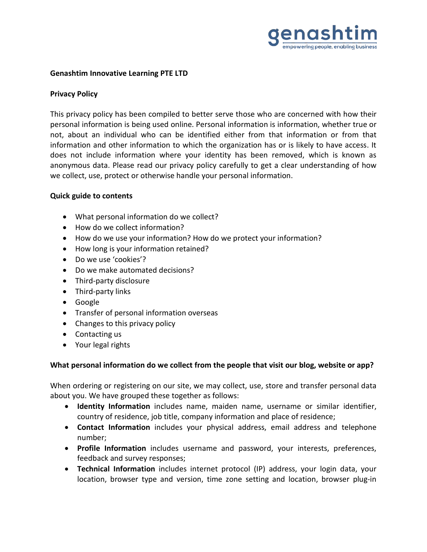

## **Genashtim Innovative Learning PTE LTD**

## **Privacy Policy**

This privacy policy has been compiled to better serve those who are concerned with how their personal information is being used online. Personal information is information, whether true or not, about an individual who can be identified either from that information or from that information and other information to which the organization has or is likely to have access. It does not include information where your identity has been removed, which is known as anonymous data. Please read our privacy policy carefully to get a clear understanding of how we collect, use, protect or otherwise handle your personal information.

#### **Quick guide to contents**

- What personal information do we collect?
- How do we collect information?
- How do we use your information? How do we protect your information?
- How long is your information retained?
- Do we use 'cookies'?
- Do we make automated decisions?
- Third-party disclosure
- Third-party links
- Google
- Transfer of personal information overseas
- Changes to this privacy policy
- Contacting us
- Your legal rights

# **What personal information do we collect from the people that visit our blog, website or app?**

When ordering or registering on our site, we may collect, use, store and transfer personal data about you. We have grouped these together as follows:

- **Identity Information** includes name, maiden name, username or similar identifier, country of residence, job title, company information and place of residence;
- **Contact Information** includes your physical address, email address and telephone number;
- **Profile Information** includes username and password, your interests, preferences, feedback and survey responses;
- **Technical Information** includes internet protocol (IP) address, your login data, your location, browser type and version, time zone setting and location, browser plug-in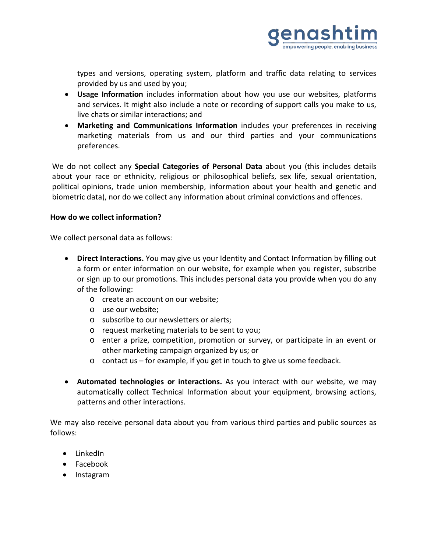

types and versions, operating system, platform and traffic data relating to services provided by us and used by you;

- **Usage Information** includes information about how you use our websites, platforms and services. It might also include a note or recording of support calls you make to us, live chats or similar interactions; and
- **Marketing and Communications Information** includes your preferences in receiving marketing materials from us and our third parties and your communications preferences.

We do not collect any **Special Categories of Personal Data** about you (this includes details about your race or ethnicity, religious or philosophical beliefs, sex life, sexual orientation, political opinions, trade union membership, information about your health and genetic and biometric data), nor do we collect any information about criminal convictions and offences.

## **How do we collect information?**

We collect personal data as follows:

- **Direct Interactions.** You may give us your Identity and Contact Information by filling out a form or enter information on our website, for example when you register, subscribe or sign up to our promotions. This includes personal data you provide when you do any of the following:
	- o create an account on our website;
	- o use our website;
	- o subscribe to our newsletters or alerts;
	- o request marketing materials to be sent to you;
	- o enter a prize, competition, promotion or survey, or participate in an event or other marketing campaign organized by us; or
	- o contact us for example, if you get in touch to give us some feedback.
- **Automated technologies or interactions.** As you interact with our website, we may automatically collect Technical Information about your equipment, browsing actions, patterns and other interactions.

We may also receive personal data about you from various third parties and public sources as follows:

- LinkedIn
- Facebook
- Instagram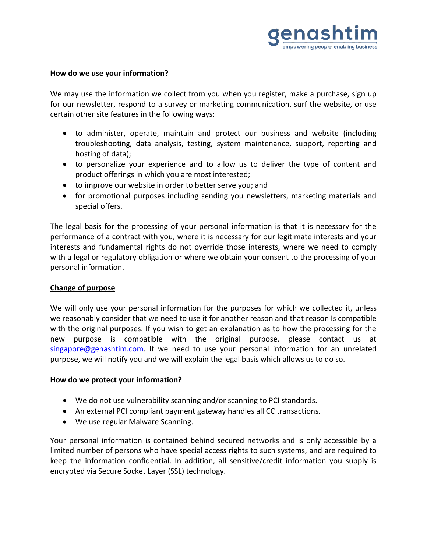

#### **How do we use your information?**

We may use the information we collect from you when you register, make a purchase, sign up for our newsletter, respond to a survey or marketing communication, surf the website, or use certain other site features in the following ways:

- to administer, operate, maintain and protect our business and website (including troubleshooting, data analysis, testing, system maintenance, support, reporting and hosting of data);
- to personalize your experience and to allow us to deliver the type of content and product offerings in which you are most interested;
- to improve our website in order to better serve you; and
- for promotional purposes including sending you newsletters, marketing materials and special offers.

The legal basis for the processing of your personal information is that it is necessary for the performance of a contract with you, where it is necessary for our legitimate interests and your interests and fundamental rights do not override those interests, where we need to comply with a legal or regulatory obligation or where we obtain your consent to the processing of your personal information.

# **Change of purpose**

We will only use your personal information for the purposes for which we collected it, unless we reasonably consider that we need to use it for another reason and that reason Is compatible with the original purposes. If you wish to get an explanation as to how the processing for the new purpose is compatible with the original purpose, please contact us at [singapore@genashtim.com.](mailto:singapore@genashtim.com) If we need to use your personal information for an unrelated purpose, we will notify you and we will explain the legal basis which allows us to do so.

#### **How do we protect your information?**

- We do not use vulnerability scanning and/or scanning to PCI standards.
- An external PCI compliant payment gateway handles all CC transactions.
- We use regular Malware Scanning.

Your personal information is contained behind secured networks and is only accessible by a limited number of persons who have special access rights to such systems, and are required to keep the information confidential. In addition, all sensitive/credit information you supply is encrypted via Secure Socket Layer (SSL) technology.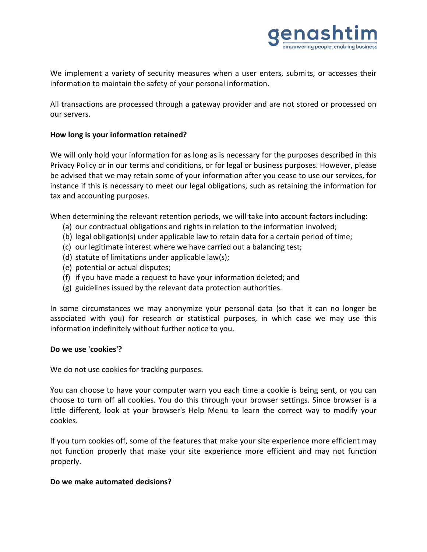

We implement a variety of security measures when a user enters, submits, or accesses their information to maintain the safety of your personal information.

All transactions are processed through a gateway provider and are not stored or processed on our servers.

## **How long is your information retained?**

We will only hold your information for as long as is necessary for the purposes described in this Privacy Policy or in our terms and conditions, or for legal or business purposes. However, please be advised that we may retain some of your information after you cease to use our services, for instance if this is necessary to meet our legal obligations, such as retaining the information for tax and accounting purposes.

When determining the relevant retention periods, we will take into account factors including:

- (a) our contractual obligations and rights in relation to the information involved;
- (b) legal obligation(s) under applicable law to retain data for a certain period of time;
- (c) our legitimate interest where we have carried out a balancing test;
- (d) statute of limitations under applicable law(s);
- (e) potential or actual disputes;
- (f) if you have made a request to have your information deleted; and
- (g) guidelines issued by the relevant data protection authorities.

In some circumstances we may anonymize your personal data (so that it can no longer be associated with you) for research or statistical purposes, in which case we may use this information indefinitely without further notice to you.

# **Do we use 'cookies'?**

We do not use cookies for tracking purposes.

You can choose to have your computer warn you each time a cookie is being sent, or you can choose to turn off all cookies. You do this through your browser settings. Since browser is a little different, look at your browser's Help Menu to learn the correct way to modify your cookies.

If you turn cookies off, some of the features that make your site experience more efficient may not function properly that make your site experience more efficient and may not function properly.

#### **Do we make automated decisions?**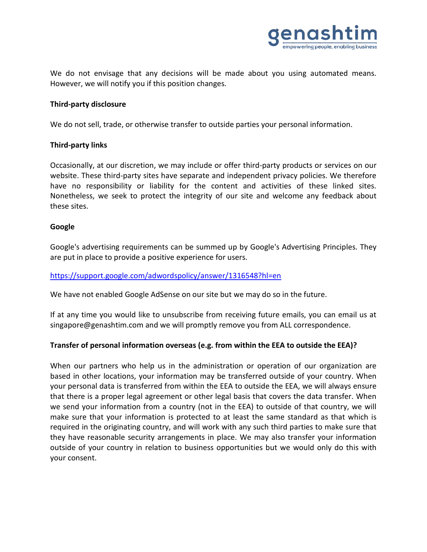

We do not envisage that any decisions will be made about you using automated means. However, we will notify you if this position changes.

### **Third-party disclosure**

We do not sell, trade, or otherwise transfer to outside parties your personal information.

#### **Third-party links**

Occasionally, at our discretion, we may include or offer third-party products or services on our website. These third-party sites have separate and independent privacy policies. We therefore have no responsibility or liability for the content and activities of these linked sites. Nonetheless, we seek to protect the integrity of our site and welcome any feedback about these sites.

## **Google**

Google's advertising requirements can be summed up by Google's Advertising Principles. They are put in place to provide a positive experience for users.

### <https://support.google.com/adwordspolicy/answer/1316548?hl=en>

We have not enabled Google AdSense on our site but we may do so in the future.

If at any time you would like to unsubscribe from receiving future emails, you can email us at singapore@genashtim.com and we will promptly remove you from ALL correspondence.

# **Transfer of personal information overseas (e.g. from within the EEA to outside the EEA)?**

When our partners who help us in the administration or operation of our organization are based in other locations, your information may be transferred outside of your country. When your personal data is transferred from within the EEA to outside the EEA, we will always ensure that there is a proper legal agreement or other legal basis that covers the data transfer. When we send your information from a country (not in the EEA) to outside of that country, we will make sure that your information is protected to at least the same standard as that which is required in the originating country, and will work with any such third parties to make sure that they have reasonable security arrangements in place. We may also transfer your information outside of your country in relation to business opportunities but we would only do this with your consent.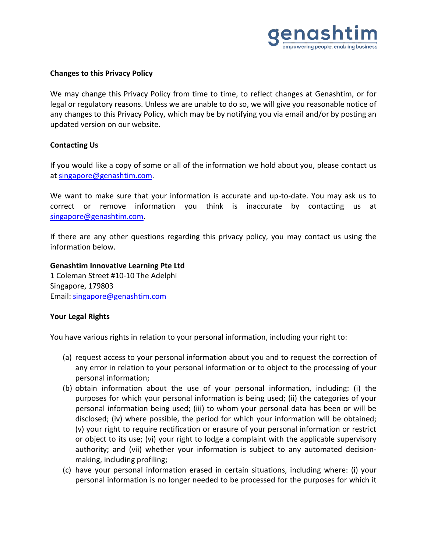

## **Changes to this Privacy Policy**

We may change this Privacy Policy from time to time, to reflect changes at Genashtim, or for legal or regulatory reasons. Unless we are unable to do so, we will give you reasonable notice of any changes to this Privacy Policy, which may be by notifying you via email and/or by posting an updated version on our website.

#### **Contacting Us**

If you would like a copy of some or all of the information we hold about you, please contact us at [singapore@genashtim.com.](mailto:singapore@genashtim.com)

We want to make sure that your information is accurate and up-to-date. You may ask us to correct or remove information you think is inaccurate by contacting us at [singapore@genashtim.com.](mailto:singapore@genashtim.com)

If there are any other questions regarding this privacy policy, you may contact us using the information below.

**Genashtim Innovative Learning Pte Ltd** 1 Coleman Street #10-10 The Adelphi Singapore, 179803 Email: [singapore@genashtim.com](mailto:singapore@genashtim.com)

# **Your Legal Rights**

You have various rights in relation to your personal information, including your right to:

- (a) request access to your personal information about you and to request the correction of any error in relation to your personal information or to object to the processing of your personal information;
- (b) obtain information about the use of your personal information, including: (i) the purposes for which your personal information is being used; (ii) the categories of your personal information being used; (iii) to whom your personal data has been or will be disclosed; (iv) where possible, the period for which your information will be obtained; (v) your right to require rectification or erasure of your personal information or restrict or object to its use; (vi) your right to lodge a complaint with the applicable supervisory authority; and (vii) whether your information is subject to any automated decisionmaking, including profiling;
- (c) have your personal information erased in certain situations, including where: (i) your personal information is no longer needed to be processed for the purposes for which it